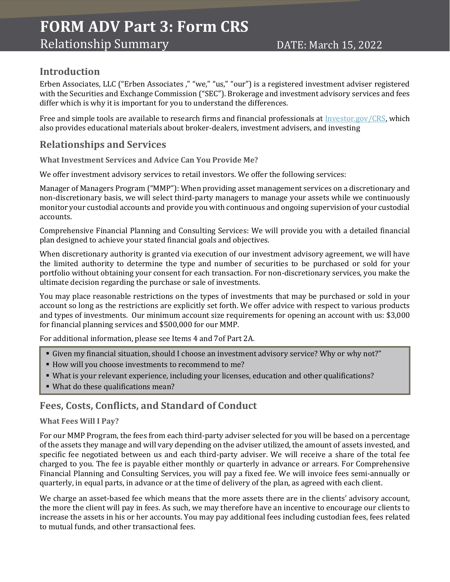# **FORM ADV Part 3: Form CRS**

## **Introduction**

Erben Associates, LLC ("Erben Associates ," "we," "us," "our") is a registered investment adviser registered with the Securities and Exchange Commission ("SEC"). Brokerage and investment advisory services and fees differ which is why it is important for you to understand the differences.

Free and simple tools are available to research firms and financial professionals at [Investor.gov/CRS,](about:blank) which also provides educational materials about broker-dealers, investment advisers, and investing

# **Relationships and Services**

**What Investment Services and Advice Can You Provide Me?**

We offer investment advisory services to retail investors. We offer the following services:

Manager of Managers Program ("MMP"): When providing asset management services on a discretionary and non-discretionary basis, we will select third-party managers to manage your assets while we continuously monitor your custodial accounts and provide you with continuous and ongoing supervision of your custodial accounts.

Comprehensive Financial Planning and Consulting Services: We will provide you with a detailed financial plan designed to achieve your stated financial goals and objectives.

When discretionary authority is granted via execution of our investment advisory agreement, we will have the limited authority to determine the type and number of securities to be purchased or sold for your portfolio without obtaining your consent for each transaction. For non-discretionary services, you make the ultimate decision regarding the purchase or sale of investments.

You may place reasonable restrictions on the types of investments that may be purchased or sold in your account so long as the restrictions are explicitly set forth. We offer advice with respect to various products and types of investments. Our minimum account size requirements for opening an account with us: \$3,000 for financial planning services and \$500,000 for our MMP.

For additional information, please see Items 4 and 7of Part 2A.

- Given my financial situation, should I choose an investment advisory service? Why or why not?"
- How will you choose investments to recommend to me?
- What is your relevant experience, including your licenses, education and other qualifications?
- What do these qualifications mean?

### **Fees, Costs, Conflicts, and Standard of Conduct**

#### **What Fees Will I Pay?**

For our MMP Program, the fees from each third-party adviser selected for you will be based on a percentage of the assets they manage and will vary depending on the adviser utilized, the amount of assets invested, and specific fee negotiated between us and each third-party adviser. We will receive a share of the total fee charged to you. The fee is payable either monthly or quarterly in advance or arrears. For Comprehensive Financial Planning and Consulting Services, you will pay a fixed fee. We will invoice fees semi-annually or quarterly, in equal parts, in advance or at the time of delivery of the plan, as agreed with each client.

We charge an asset-based fee which means that the more assets there are in the clients' advisory account, the more the client will pay in fees. As such, we may therefore have an incentive to encourage our clients to increase the assets in his or her accounts. You may pay additional fees including custodian fees, fees related to mutual funds, and other transactional fees.